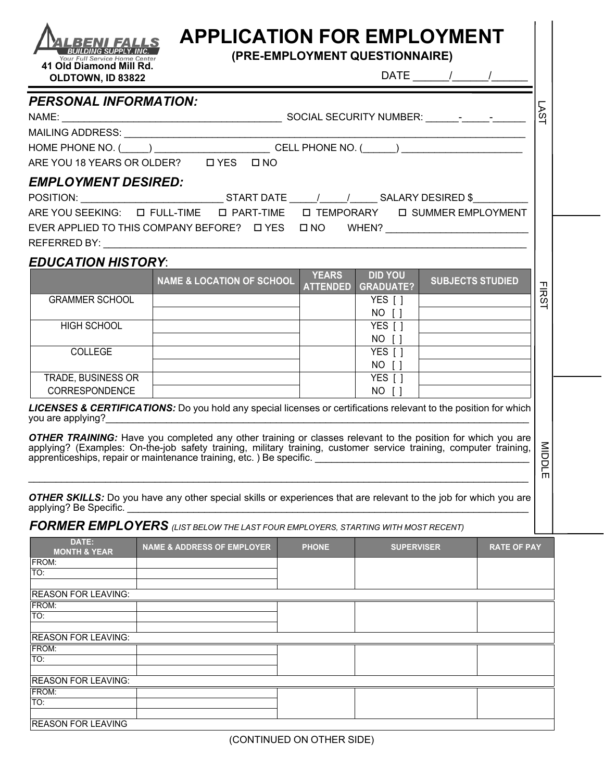| OLDTOWN, ID 83822                    |                                                                                                                                              |                                 |                                    |                                 |                 |
|--------------------------------------|----------------------------------------------------------------------------------------------------------------------------------------------|---------------------------------|------------------------------------|---------------------------------|-----------------|
| <b>PERSONAL INFORMATION:</b>         |                                                                                                                                              |                                 |                                    |                                 |                 |
| NAME:                                |                                                                                                                                              |                                 |                                    |                                 | AS <sub>1</sub> |
|                                      |                                                                                                                                              |                                 |                                    |                                 |                 |
|                                      | HOME PHONE NO. (_____) ____________________________CELL PHONE NO. (______) _________________________<br>ARE YOU 18 YEARS OR OLDER? LYES LINO |                                 |                                    |                                 |                 |
|                                      |                                                                                                                                              |                                 |                                    |                                 |                 |
| <b>EMPLOYMENT DESIRED:</b>           |                                                                                                                                              |                                 |                                    |                                 |                 |
|                                      | POSITION: _______________________________START DATE ______/______/______SALARY DESIRED \$___________                                         |                                 |                                    |                                 |                 |
|                                      |                                                                                                                                              |                                 |                                    |                                 |                 |
|                                      | ARE YOU SEEKING:<br>$\Box$ FULL-TIME $\Box$ PART-TIME                                                                                        |                                 |                                    | □ TEMPORARY □ SUMMER EMPLOYMENT |                 |
|                                      |                                                                                                                                              |                                 |                                    |                                 |                 |
|                                      |                                                                                                                                              |                                 |                                    |                                 |                 |
|                                      |                                                                                                                                              |                                 |                                    |                                 |                 |
| <b>EDUCATION HISTORY:</b>            | <b>NAME &amp; LOCATION OF SCHOOL</b>                                                                                                         | <b>YEARS</b><br><b>ATTENDED</b> | <b>DID YOU</b><br><b>GRADUATE?</b> | <b>SUBJECTS STUDIED</b>         |                 |
| <b>GRAMMER SCHOOL</b>                |                                                                                                                                              |                                 | YES [ ]                            |                                 | <b>FIRS</b>     |
|                                      |                                                                                                                                              |                                 | NO []                              |                                 |                 |
| <b>HIGH SCHOOL</b>                   |                                                                                                                                              |                                 | YES []                             |                                 |                 |
|                                      |                                                                                                                                              |                                 | NO []                              |                                 |                 |
| COLLEGE                              |                                                                                                                                              |                                 | YES [ ]<br>NO []                   |                                 |                 |
| TRADE, BUSINESS OR<br>CORRESPONDENCE |                                                                                                                                              |                                 | YES [ ]<br>NO []                   |                                 |                 |

applying? Be Specific. \_\_\_\_\_\_\_\_\_\_\_\_\_\_\_\_\_\_\_\_\_\_\_\_\_\_\_\_\_\_\_\_\_\_\_\_\_\_\_\_\_\_\_\_\_\_\_\_\_\_\_\_\_\_\_\_\_\_\_\_\_\_\_\_\_\_\_\_\_\_\_\_\_

*FORMER EMPLOYERS (LIST BELOW THE LAST FOUR EMPLOYERS, STARTING WITH MOST RECENT)*

| DATE:<br><b>MONTH &amp; YEAR</b> | <b>NAME &amp; ADDRESS OF EMPLOYER</b> | <b>PHONE</b> | <b>SUPERVISER</b> | <b>RATE OF PAY</b> |  |
|----------------------------------|---------------------------------------|--------------|-------------------|--------------------|--|
| FROM:                            |                                       |              |                   |                    |  |
| TO:                              |                                       |              |                   |                    |  |
|                                  |                                       |              |                   |                    |  |
| <b>REASON FOR LEAVING:</b>       |                                       |              |                   |                    |  |
| <b>FROM:</b>                     |                                       |              |                   |                    |  |
| TO:                              |                                       |              |                   |                    |  |
|                                  |                                       |              |                   |                    |  |
| <b>REASON FOR LEAVING:</b>       |                                       |              |                   |                    |  |
| FROM:                            |                                       |              |                   |                    |  |
| TO:                              |                                       |              |                   |                    |  |
|                                  |                                       |              |                   |                    |  |
| <b>REASON FOR LEAVING:</b>       |                                       |              |                   |                    |  |
| FROM:                            |                                       |              |                   |                    |  |
| TO:                              |                                       |              |                   |                    |  |
|                                  |                                       |              |                   |                    |  |
| <b>REASON FOR LEAVING</b>        |                                       |              |                   |                    |  |